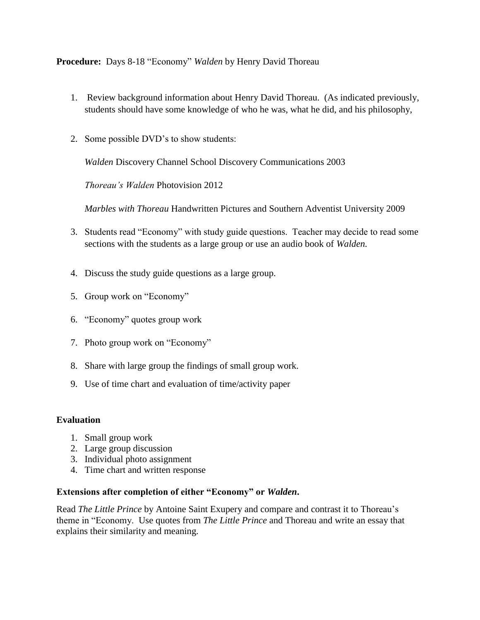**Procedure:** Days 8-18 "Economy" *Walden* by Henry David Thoreau

- 1. Review background information about Henry David Thoreau. (As indicated previously, students should have some knowledge of who he was, what he did, and his philosophy,
- 2. Some possible DVD's to show students:

*Walden* Discovery Channel School Discovery Communications 2003

*Thoreau's Walden* Photovision 2012

*Marbles with Thoreau* Handwritten Pictures and Southern Adventist University 2009

- 3. Students read "Economy" with study guide questions. Teacher may decide to read some sections with the students as a large group or use an audio book of *Walden.*
- 4. Discuss the study guide questions as a large group.
- 5. Group work on "Economy"
- 6. "Economy" quotes group work
- 7. Photo group work on "Economy"
- 8. Share with large group the findings of small group work.
- 9. Use of time chart and evaluation of time/activity paper

### **Evaluation**

- 1. Small group work
- 2. Large group discussion
- 3. Individual photo assignment
- 4. Time chart and written response

### **Extensions after completion of either "Economy" or** *Walden***.**

Read *The Little Prince* by Antoine Saint Exupery and compare and contrast it to Thoreau's theme in "Economy. Use quotes from *The Little Prince* and Thoreau and write an essay that explains their similarity and meaning.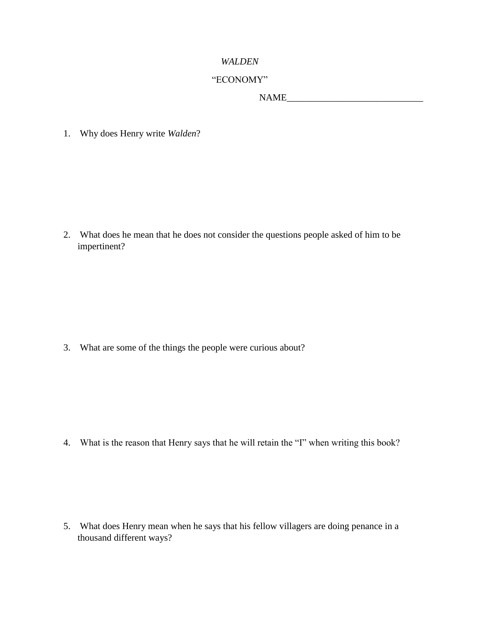#### *WALDEN*

## "ECONOMY"

NAME\_\_\_\_\_\_\_\_\_\_\_\_\_\_\_\_\_\_\_\_\_\_\_\_\_\_\_\_\_

1. Why does Henry write *Walden*?

2. What does he mean that he does not consider the questions people asked of him to be impertinent?

3. What are some of the things the people were curious about?

4. What is the reason that Henry says that he will retain the "I" when writing this book?

5. What does Henry mean when he says that his fellow villagers are doing penance in a thousand different ways?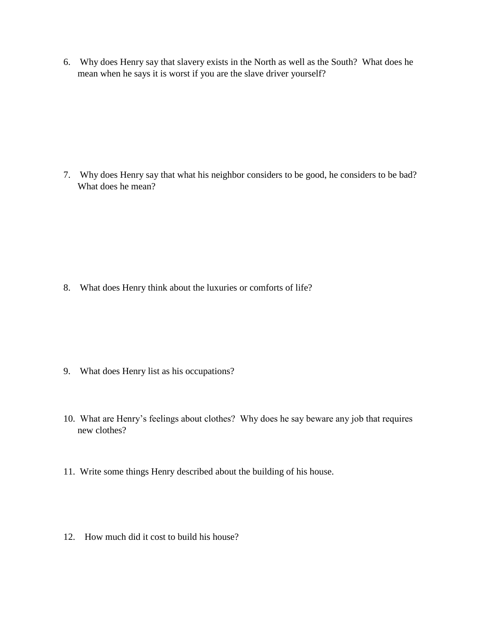6. Why does Henry say that slavery exists in the North as well as the South? What does he mean when he says it is worst if you are the slave driver yourself?

7. Why does Henry say that what his neighbor considers to be good, he considers to be bad? What does he mean?

8. What does Henry think about the luxuries or comforts of life?

- 9. What does Henry list as his occupations?
- 10. What are Henry's feelings about clothes? Why does he say beware any job that requires new clothes?
- 11. Write some things Henry described about the building of his house.
- 12. How much did it cost to build his house?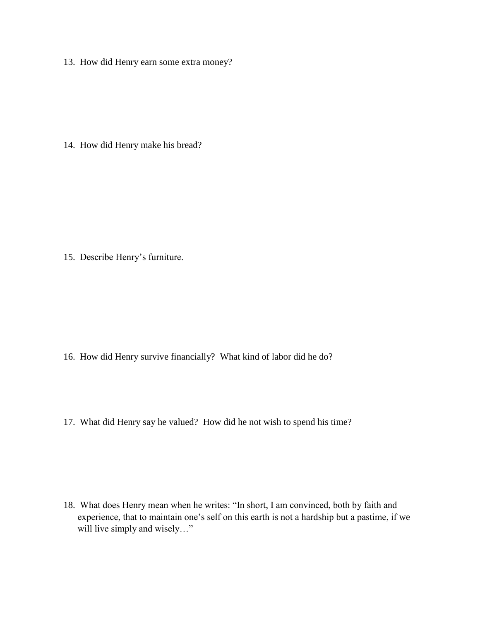13. How did Henry earn some extra money?

14. How did Henry make his bread?

15. Describe Henry's furniture.

- 16. How did Henry survive financially? What kind of labor did he do?
- 17. What did Henry say he valued? How did he not wish to spend his time?

18. What does Henry mean when he writes: "In short, I am convinced, both by faith and experience, that to maintain one's self on this earth is not a hardship but a pastime, if we will live simply and wisely..."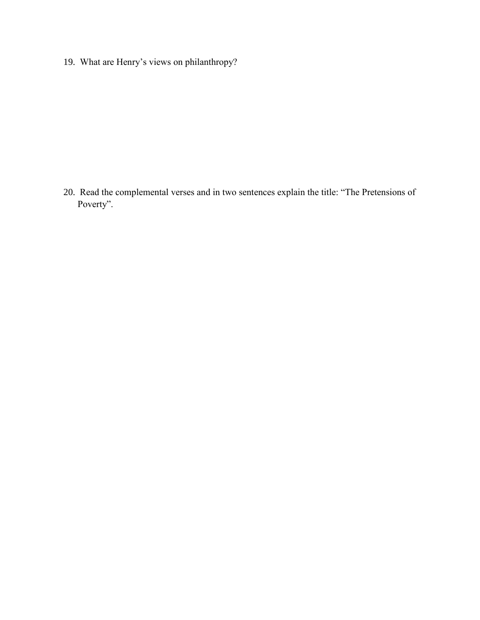19. What are Henry's views on philanthropy?

20. Read the complemental verses and in two sentences explain the title: "The Pretensions of Poverty".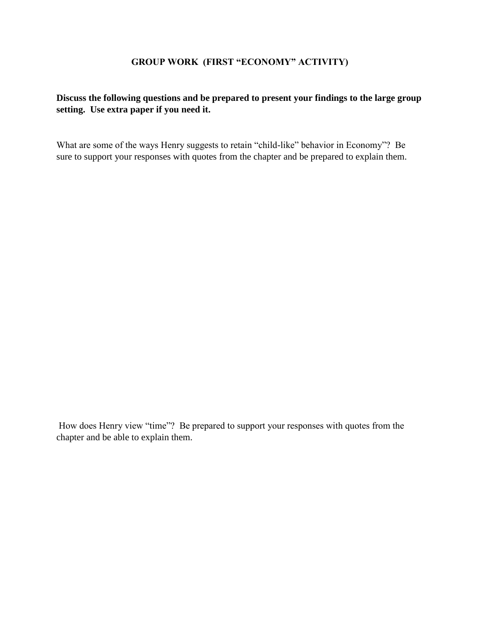## **GROUP WORK (FIRST "ECONOMY" ACTIVITY)**

## **Discuss the following questions and be prepared to present your findings to the large group setting. Use extra paper if you need it.**

What are some of the ways Henry suggests to retain "child-like" behavior in Economy"? Be sure to support your responses with quotes from the chapter and be prepared to explain them.

How does Henry view "time"? Be prepared to support your responses with quotes from the chapter and be able to explain them.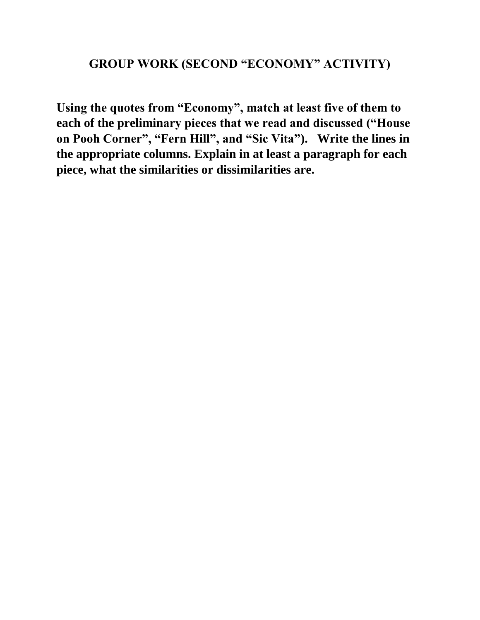# **GROUP WORK (SECOND "ECONOMY" ACTIVITY)**

**Using the quotes from "Economy", match at least five of them to each of the preliminary pieces that we read and discussed ("House on Pooh Corner", "Fern Hill", and "Sic Vita"). Write the lines in the appropriate columns. Explain in at least a paragraph for each piece, what the similarities or dissimilarities are.**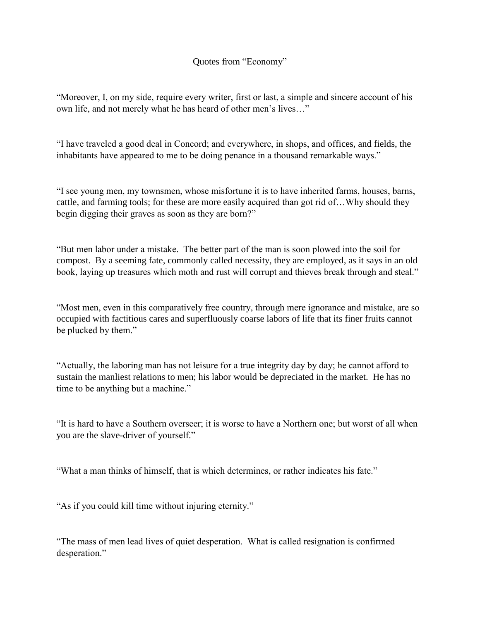## Quotes from "Economy"

"Moreover, I, on my side, require every writer, first or last, a simple and sincere account of his own life, and not merely what he has heard of other men's lives…"

"I have traveled a good deal in Concord; and everywhere, in shops, and offices, and fields, the inhabitants have appeared to me to be doing penance in a thousand remarkable ways."

"I see young men, my townsmen, whose misfortune it is to have inherited farms, houses, barns, cattle, and farming tools; for these are more easily acquired than got rid of…Why should they begin digging their graves as soon as they are born?"

"But men labor under a mistake. The better part of the man is soon plowed into the soil for compost. By a seeming fate, commonly called necessity, they are employed, as it says in an old book, laying up treasures which moth and rust will corrupt and thieves break through and steal."

"Most men, even in this comparatively free country, through mere ignorance and mistake, are so occupied with factitious cares and superfluously coarse labors of life that its finer fruits cannot be plucked by them."

"Actually, the laboring man has not leisure for a true integrity day by day; he cannot afford to sustain the manliest relations to men; his labor would be depreciated in the market. He has no time to be anything but a machine."

"It is hard to have a Southern overseer; it is worse to have a Northern one; but worst of all when you are the slave-driver of yourself."

"What a man thinks of himself, that is which determines, or rather indicates his fate."

"As if you could kill time without injuring eternity."

"The mass of men lead lives of quiet desperation. What is called resignation is confirmed desperation."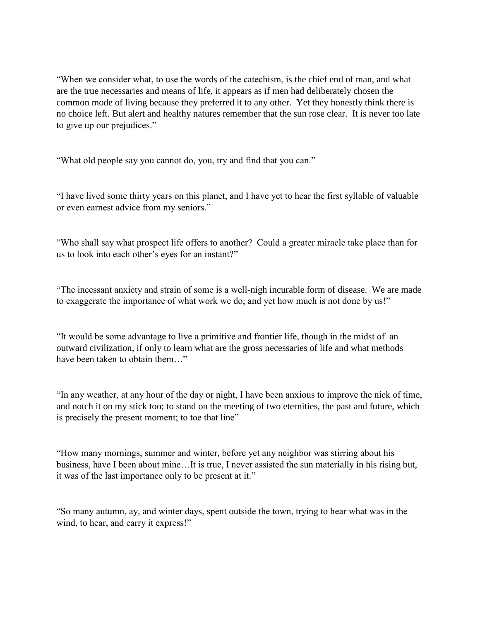"When we consider what, to use the words of the catechism, is the chief end of man, and what are the true necessaries and means of life, it appears as if men had deliberately chosen the common mode of living because they preferred it to any other. Yet they honestly think there is no choice left. But alert and healthy natures remember that the sun rose clear. It is never too late to give up our prejudices."

"What old people say you cannot do, you, try and find that you can."

"I have lived some thirty years on this planet, and I have yet to hear the first syllable of valuable or even earnest advice from my seniors."

"Who shall say what prospect life offers to another? Could a greater miracle take place than for us to look into each other's eyes for an instant?"

"The incessant anxiety and strain of some is a well-nigh incurable form of disease. We are made to exaggerate the importance of what work we do; and yet how much is not done by us!"

"It would be some advantage to live a primitive and frontier life, though in the midst of an outward civilization, if only to learn what are the gross necessaries of life and what methods have been taken to obtain them  $\cdots$ 

"In any weather, at any hour of the day or night, I have been anxious to improve the nick of time, and notch it on my stick too; to stand on the meeting of two eternities, the past and future, which is precisely the present moment; to toe that line"

"How many mornings, summer and winter, before yet any neighbor was stirring about his business, have I been about mine…It is true, I never assisted the sun materially in his rising but, it was of the last importance only to be present at it."

"So many autumn, ay, and winter days, spent outside the town, trying to hear what was in the wind, to hear, and carry it express!"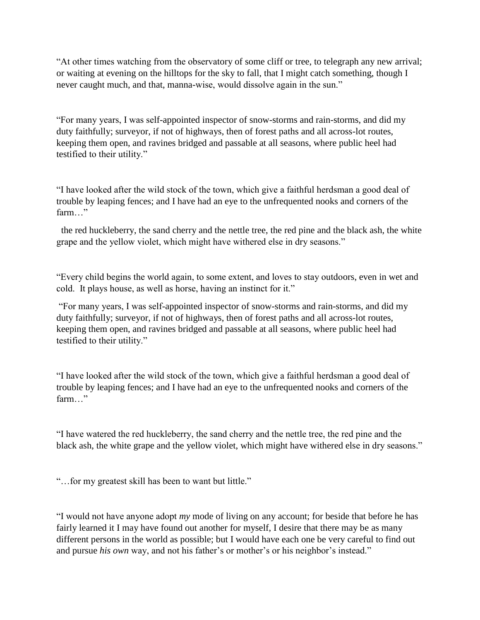"At other times watching from the observatory of some cliff or tree, to telegraph any new arrival; or waiting at evening on the hilltops for the sky to fall, that I might catch something, though I never caught much, and that, manna-wise, would dissolve again in the sun."

"For many years, I was self-appointed inspector of snow-storms and rain-storms, and did my duty faithfully; surveyor, if not of highways, then of forest paths and all across-lot routes, keeping them open, and ravines bridged and passable at all seasons, where public heel had testified to their utility."

"I have looked after the wild stock of the town, which give a faithful herdsman a good deal of trouble by leaping fences; and I have had an eye to the unfrequented nooks and corners of the farm "

 the red huckleberry, the sand cherry and the nettle tree, the red pine and the black ash, the white grape and the yellow violet, which might have withered else in dry seasons."

"Every child begins the world again, to some extent, and loves to stay outdoors, even in wet and cold. It plays house, as well as horse, having an instinct for it."

"For many years, I was self-appointed inspector of snow-storms and rain-storms, and did my duty faithfully; surveyor, if not of highways, then of forest paths and all across-lot routes, keeping them open, and ravines bridged and passable at all seasons, where public heel had testified to their utility."

"I have looked after the wild stock of the town, which give a faithful herdsman a good deal of trouble by leaping fences; and I have had an eye to the unfrequented nooks and corners of the farm…"

"I have watered the red huckleberry, the sand cherry and the nettle tree, the red pine and the black ash, the white grape and the yellow violet, which might have withered else in dry seasons."

"…for my greatest skill has been to want but little."

"I would not have anyone adopt *my* mode of living on any account; for beside that before he has fairly learned it I may have found out another for myself, I desire that there may be as many different persons in the world as possible; but I would have each one be very careful to find out and pursue *his own* way, and not his father's or mother's or his neighbor's instead."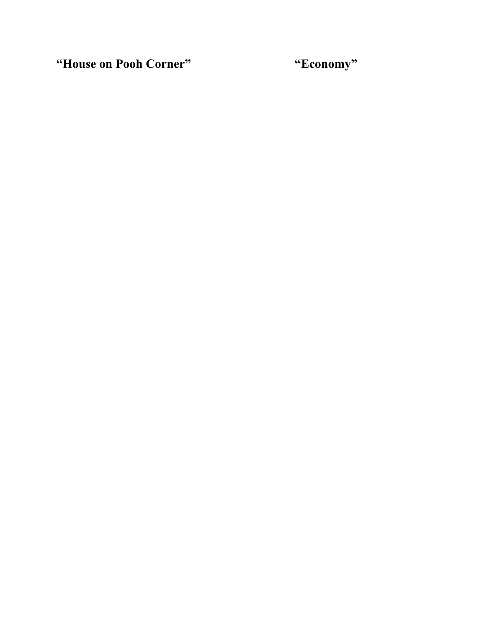**"House on Pooh Corner" "Economy"**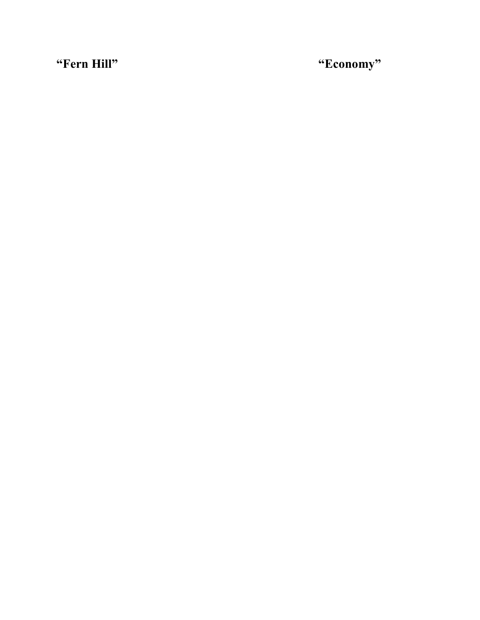**"Fern Hill" "Economy"**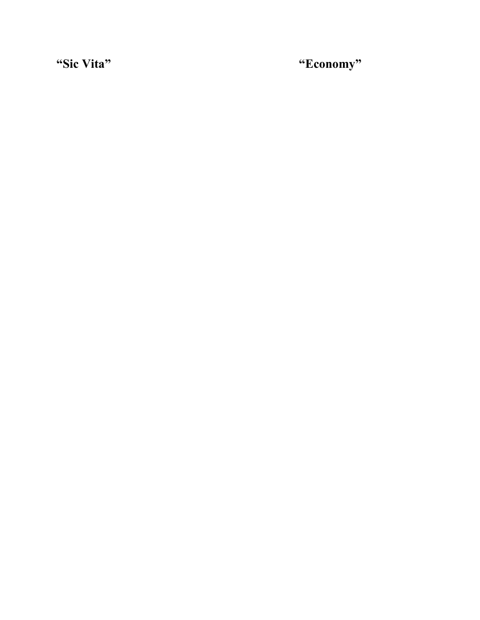**"Sic Vita" "Economy"**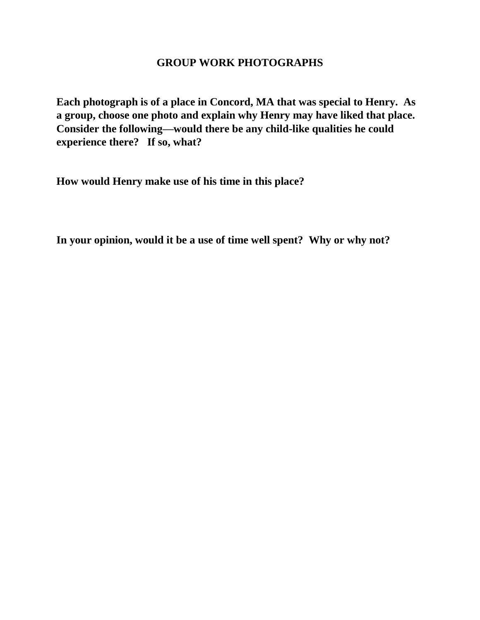## **GROUP WORK PHOTOGRAPHS**

**Each photograph is of a place in Concord, MA that was special to Henry. As a group, choose one photo and explain why Henry may have liked that place. Consider the following—would there be any child-like qualities he could experience there? If so, what?**

**How would Henry make use of his time in this place?**

**In your opinion, would it be a use of time well spent? Why or why not?**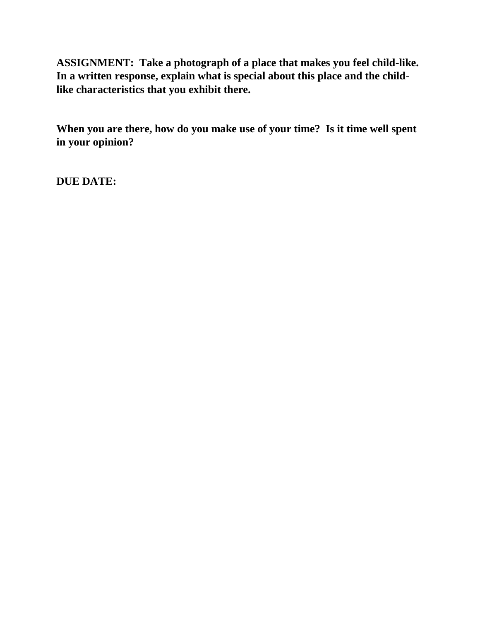**ASSIGNMENT: Take a photograph of a place that makes you feel child-like. In a written response, explain what is special about this place and the childlike characteristics that you exhibit there.**

**When you are there, how do you make use of your time? Is it time well spent in your opinion?**

**DUE DATE:**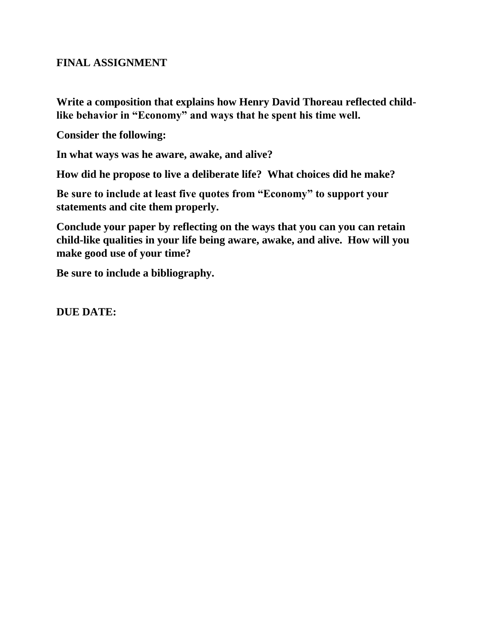# **FINAL ASSIGNMENT**

**Write a composition that explains how Henry David Thoreau reflected childlike behavior in "Economy" and ways that he spent his time well.**

**Consider the following:**

**In what ways was he aware, awake, and alive?**

**How did he propose to live a deliberate life? What choices did he make?**

**Be sure to include at least five quotes from "Economy" to support your statements and cite them properly.**

**Conclude your paper by reflecting on the ways that you can you can retain child-like qualities in your life being aware, awake, and alive. How will you make good use of your time?**

**Be sure to include a bibliography.**

**DUE DATE:**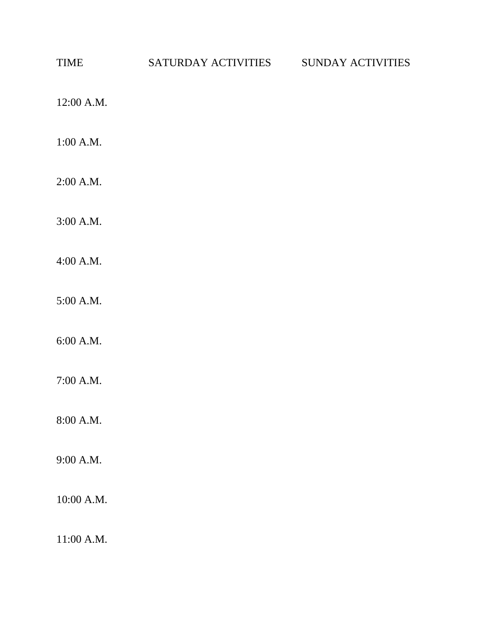| <b>TIME</b> | SATURDAY ACTIVITIES | SUNDAY ACTIVITIES |
|-------------|---------------------|-------------------|
| 12:00 A.M.  |                     |                   |
| 1:00 A.M.   |                     |                   |
| 2:00 A.M.   |                     |                   |
| 3:00 A.M.   |                     |                   |
| 4:00 A.M.   |                     |                   |
| 5:00 A.M.   |                     |                   |
| 6:00 A.M.   |                     |                   |
| 7:00 A.M.   |                     |                   |
| 8:00 A.M.   |                     |                   |
| 9:00 A.M.   |                     |                   |
| 10:00 A.M.  |                     |                   |
| 11:00 A.M.  |                     |                   |